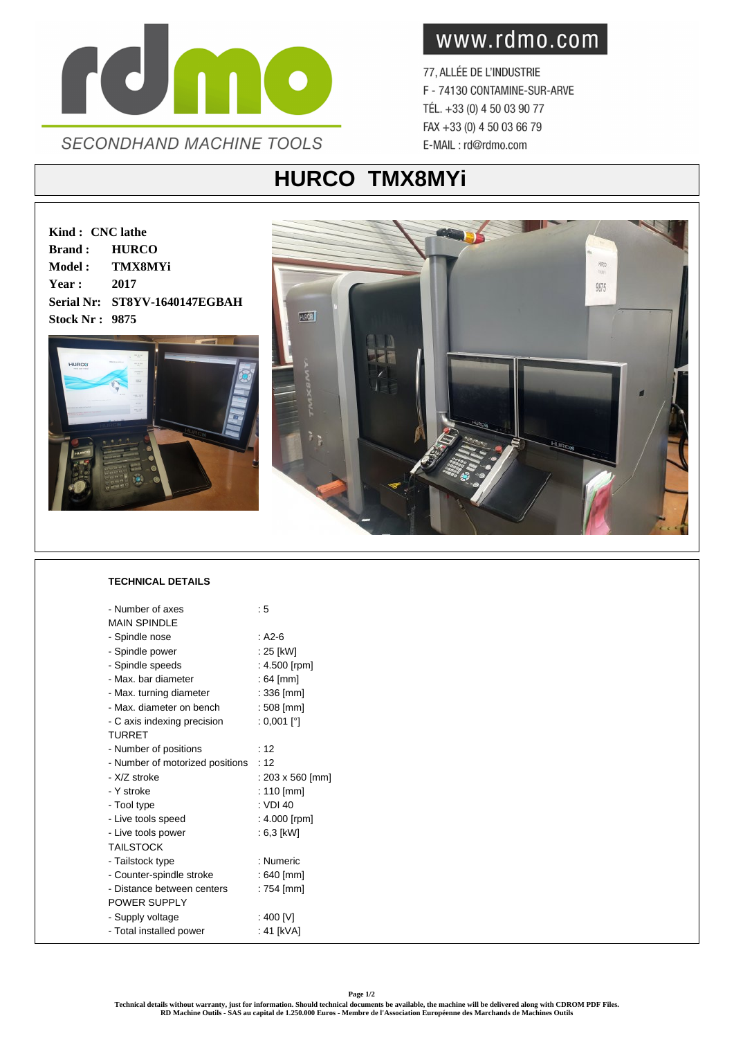

www.rdmo.com

77, ALLÉE DE L'INDUSTRIE F - 74130 CONTAMINE-SUR-ARVE TÉL. +33 (0) 4 50 03 90 77 FAX +33 (0) 4 50 03 66 79 E-MAIL: rd@rdmo.com

## **HURCO TMX8MYi**

**Kind : CNC lathe Brand : HURCO Model : TMX8MYi Year : 2017 Serial Nr: ST8YV-1640147EGBAH Stock Nr : 9875**





## **TECHNICAL DETAILS**

| - Number of axes                | : 5              |
|---------------------------------|------------------|
| <b>MAIN SPINDI F</b>            |                  |
| - Spindle nose                  | $: A2-6$         |
| - Spindle power                 | : 25 [kW]        |
| - Spindle speeds                | : 4.500 [rpm]    |
| - Max, bar diameter             | : 64 [mm]        |
| - Max. turning diameter         | : 336 [mm]       |
| - Max. diameter on bench        | $:508$ [mm]      |
| - C axis indexing precision     | : 0,001 [°]      |
| <b>TURRET</b>                   |                  |
| - Number of positions           | : 12             |
| - Number of motorized positions | :12              |
| - X/Z stroke                    | : 203 x 560 [mm] |
| - Y stroke                      | : 110 [mm]       |
| - Tool type                     | : VDI 40         |
| - Live tools speed              | : 4.000 [rpm]    |
| - Live tools power              | : 6,3 [kW]       |
| <b>TAILSTOCK</b>                |                  |
| - Tailstock type                | : Numeric        |
| - Counter-spindle stroke        | $:640$ [mm]      |
| - Distance between centers      | : 754 [mm]       |
| POWER SUPPLY                    |                  |
| - Supply voltage                | : 400 [V]        |
| - Total installed power         | : 41 [kVA]       |
|                                 |                  |

**Page 1/2**